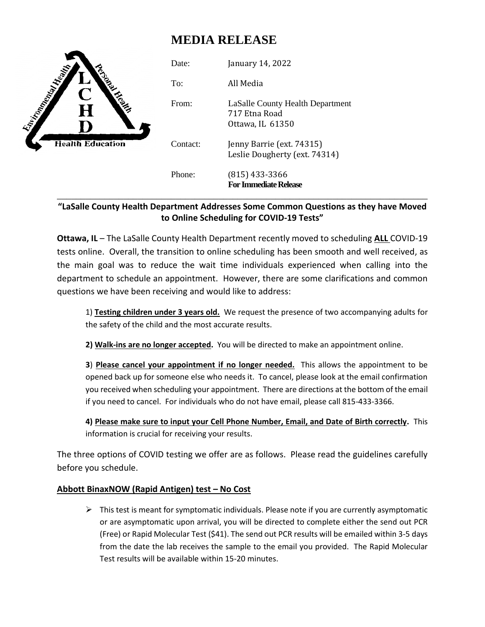# **MEDIA RELEASE**



## **"LaSalle County Health Department Addresses Some Common Questions as they have Moved to Online Scheduling for COVID-19 Tests"**

**Ottawa, IL** – The LaSalle County Health Department recently moved to scheduling **ALL** COVID-19 tests online. Overall, the transition to online scheduling has been smooth and well received, as the main goal was to reduce the wait time individuals experienced when calling into the department to schedule an appointment. However, there are some clarifications and common questions we have been receiving and would like to address:

1) **Testing children under 3 years old.** We request the presence of two accompanying adults for the safety of the child and the most accurate results.

**2) Walk-ins are no longer accepted.** You will be directed to make an appointment online.

**3**) **Please cancel your appointment if no longer needed.** This allows the appointment to be opened back up for someone else who needs it. To cancel, please look at the email confirmation you received when scheduling your appointment. There are directions at the bottom of the email if you need to cancel. For individuals who do not have email, please call 815-433-3366.

**4) Please make sure to input your Cell Phone Number, Email, and Date of Birth correctly.** This information is crucial for receiving your results.

The three options of COVID testing we offer are as follows. Please read the guidelines carefully before you schedule.

## **Abbott BinaxNOW (Rapid Antigen) test – No Cost**

 $\triangleright$  This test is meant for symptomatic individuals. Please note if you are currently asymptomatic or are asymptomatic upon arrival, you will be directed to complete either the send out PCR (Free) or Rapid Molecular Test (\$41). The send out PCR results will be emailed within 3-5 days from the date the lab receives the sample to the email you provided. The Rapid Molecular Test results will be available within 15-20 minutes.